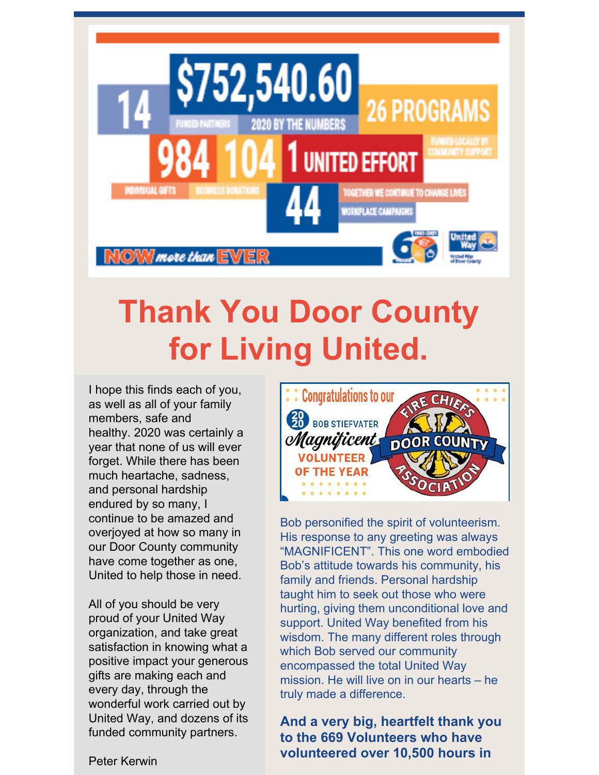

# **Thank You Door County for Living United.**

I hope this finds each of you, as well as all of your family members, safe and healthy. 2020 was certainly a year that none of us will ever forget. While there has been much heartache, sadness, and personal hardship endured by so many, I continue to be amazed and overjoyed at how so many in our Door County community have come together as one, United to help those in need.

All of you should be very proud of your United Way organization, and take great satisfaction in knowing what a positive impact your generous gifts are making each and every day, through the wonderful work carried out by United Way, and dozens of its funded community partners.



Bob personified the spirit of volunteerism. His response to any greeting was always "MAGNIFICENT". This one word embodied Bob's attitude towards his community, his family and friends. Personal hardship taught him to seek out those who were hurting, giving them unconditional love and support. United Way benefited from his wisdom. The many different roles through which Bob served our community encompassed the total United Way mission. He will live on in our hearts – he truly made a difference.

**And a very big, heartfelt thank you to the 669 Volunteers who have volunteered over 10,500 hours in**

Peter Kerwin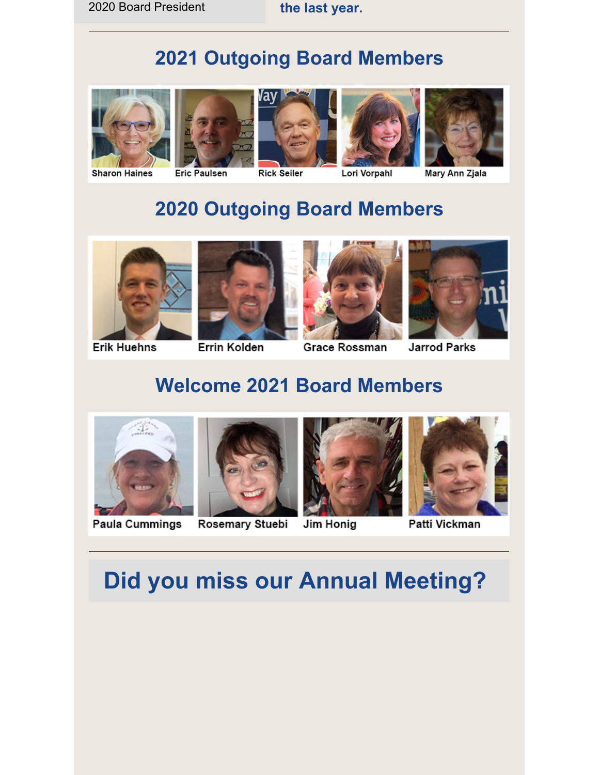#### **2021 Outgoing Board Members**









Lori Vorpahl



Mary Ann Zjala

### **2020 Outgoing Board Members**









**Erik Huehns** 

#### **Errin Kolden**

Grace Rossman

**Jarrod Parks** 

#### **Welcome 2021 Board Members**



**Paula Cummings** 



Jim Honig





Patti Vickman

## **Did you miss our Annual Meeting?**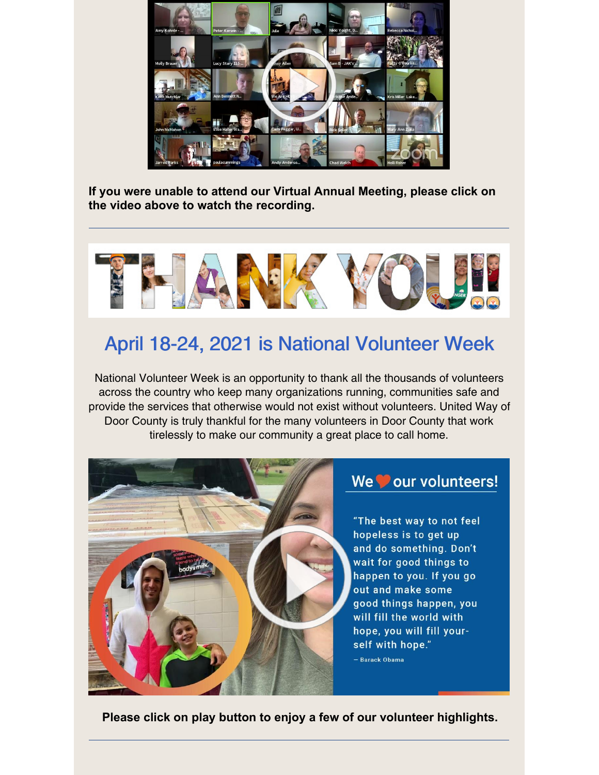

**If you were unable to attend our Virtual Annual Meeting, please click on the video above to watch the recording.**



#### April 18-24, 2021 is National Volunteer Week

National Volunteer Week is an opportunity to thank all the thousands of volunteers across the country who keep many organizations running, communities safe and provide the services that otherwise would not exist without volunteers. United Way of Door County is truly thankful for the many volunteers in Door County that work tirelessly to make our community a great place to call home.



#### We our volunteers!

"The best way to not feel hopeless is to get up and do something. Don't wait for good things to happen to you. If you go out and make some good things happen, you will fill the world with hope, you will fill yourself with hope." - Barack Obama

**Please click on play button to enjoy a few of our volunteer highlights.**